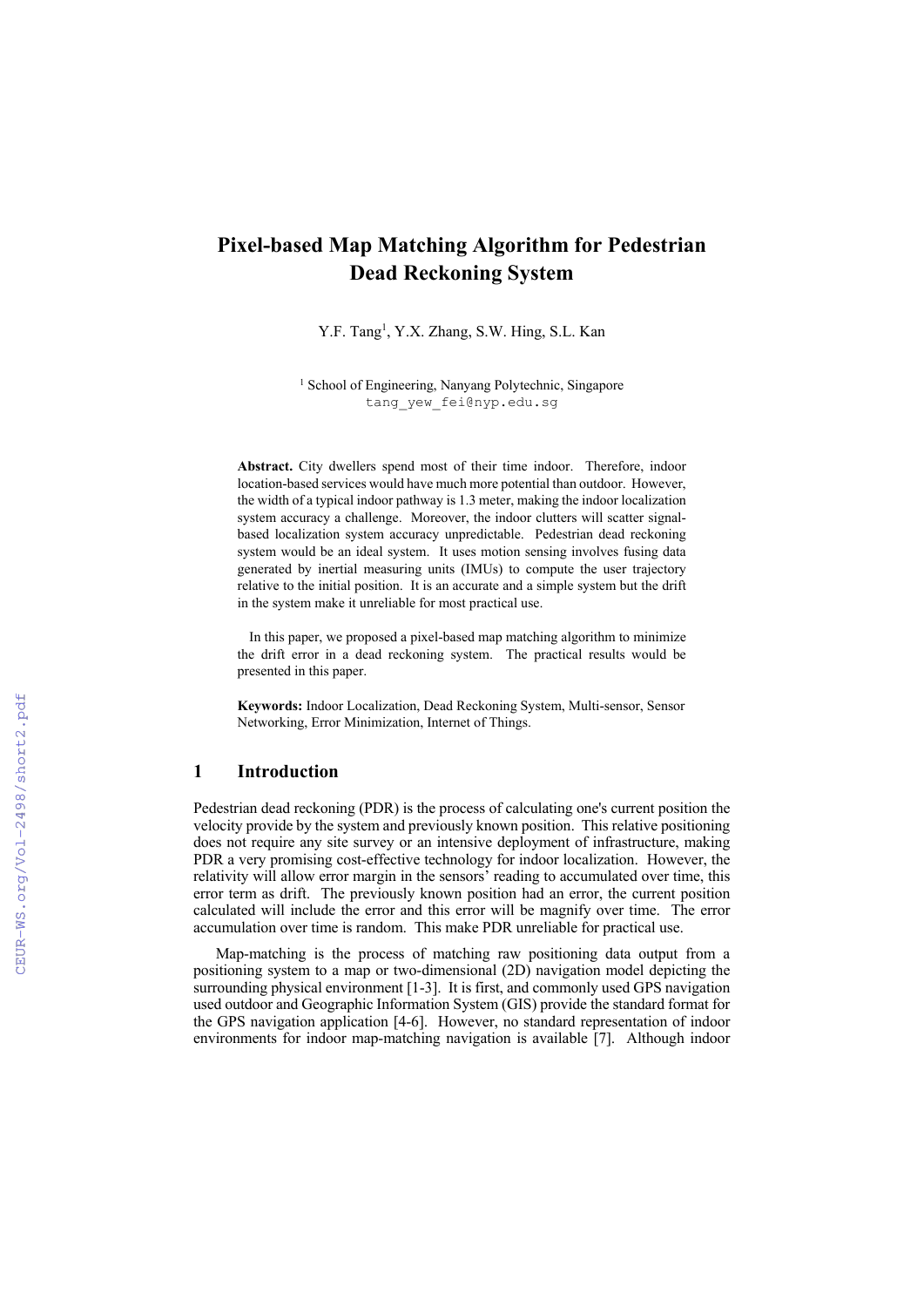# **Pixel-based Map Matching Algorithm for Pedestrian Dead Reckoning System**

Y.F. Tang<sup>1</sup>, Y.X. Zhang, S.W. Hing, S.L. Kan

<sup>1</sup> School of Engineering, Nanyang Polytechnic, Singapore tang\_yew\_fei@nyp.edu.sg

**Abstract.** City dwellers spend most of their time indoor. Therefore, indoor location-based services would have much more potential than outdoor. However, the width of a typical indoor pathway is 1.3 meter, making the indoor localization system accuracy a challenge. Moreover, the indoor clutters will scatter signalbased localization system accuracy unpredictable. Pedestrian dead reckoning system would be an ideal system. It uses motion sensing involves fusing data generated by inertial measuring units (IMUs) to compute the user trajectory relative to the initial position. It is an accurate and a simple system but the drift in the system make it unreliable for most practical use.

In this paper, we proposed a pixel-based map matching algorithm to minimize the drift error in a dead reckoning system. The practical results would be presented in this paper.

**Keywords:** Indoor Localization, Dead Reckoning System, Multi-sensor, Sensor Networking, Error Minimization, Internet of Things.

# **1 Introduction**

Pedestrian dead reckoning (PDR) is the process of calculating one's current position the velocity provide by the system and previously known position. This relative positioning does not require any site survey or an intensive deployment of infrastructure, making PDR a very promising cost-effective technology for indoor localization. However, the relativity will allow error margin in the sensors' reading to accumulated over time, this error term as drift. The previously known position had an error, the current position calculated will include the error and this error will be magnify over time. The error accumulation over time is random. This make PDR unreliable for practical use.

 Map-matching is the process of matching raw positioning data output from a positioning system to a map or two-dimensional (2D) navigation model depicting the surrounding physical environment [1-3]. It is first, and commonly used GPS navigation used outdoor and Geographic Information System (GIS) provide the standard format for the GPS navigation application [4-6]. However, no standard representation of indoor environments for indoor map-matching navigation is available [7]. Although indoor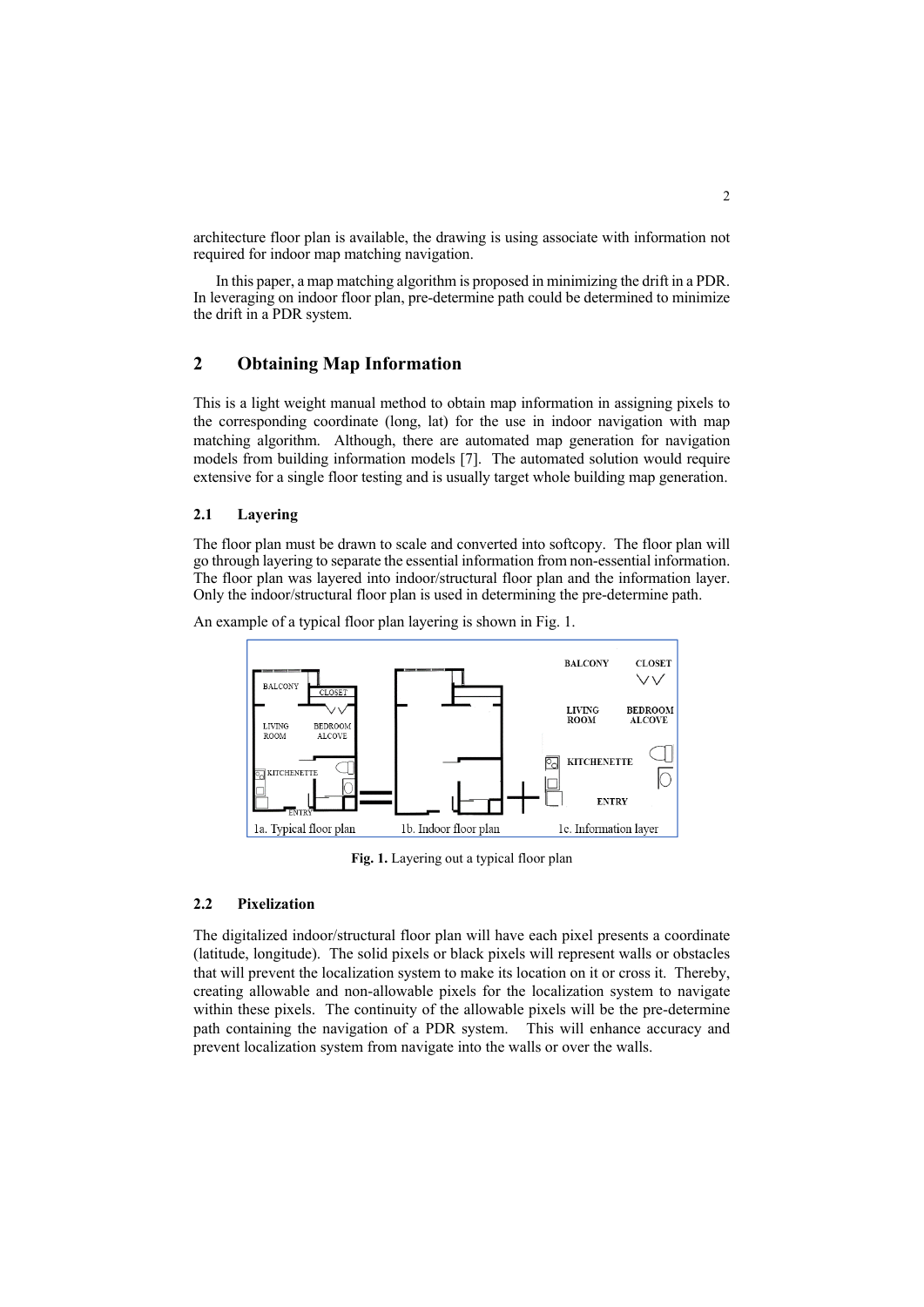architecture floor plan is available, the drawing is using associate with information not required for indoor map matching navigation.

 In this paper, a map matching algorithm is proposed in minimizing the drift in a PDR. In leveraging on indoor floor plan, pre-determine path could be determined to minimize the drift in a PDR system.

## **2 Obtaining Map Information**

This is a light weight manual method to obtain map information in assigning pixels to the corresponding coordinate (long, lat) for the use in indoor navigation with map matching algorithm. Although, there are automated map generation for navigation models from building information models [7]. The automated solution would require extensive for a single floor testing and is usually target whole building map generation.

#### **2.1 Layering**

The floor plan must be drawn to scale and converted into softcopy. The floor plan will go through layering to separate the essential information from non-essential information. The floor plan was layered into indoor/structural floor plan and the information layer. Only the indoor/structural floor plan is used in determining the pre-determine path.

An example of a typical floor plan layering is shown in Fig. 1.



**Fig. 1.** Layering out a typical floor plan

#### **2.2 Pixelization**

The digitalized indoor/structural floor plan will have each pixel presents a coordinate (latitude, longitude). The solid pixels or black pixels will represent walls or obstacles that will prevent the localization system to make its location on it or cross it. Thereby, creating allowable and non-allowable pixels for the localization system to navigate within these pixels. The continuity of the allowable pixels will be the pre-determine path containing the navigation of a PDR system. This will enhance accuracy and prevent localization system from navigate into the walls or over the walls.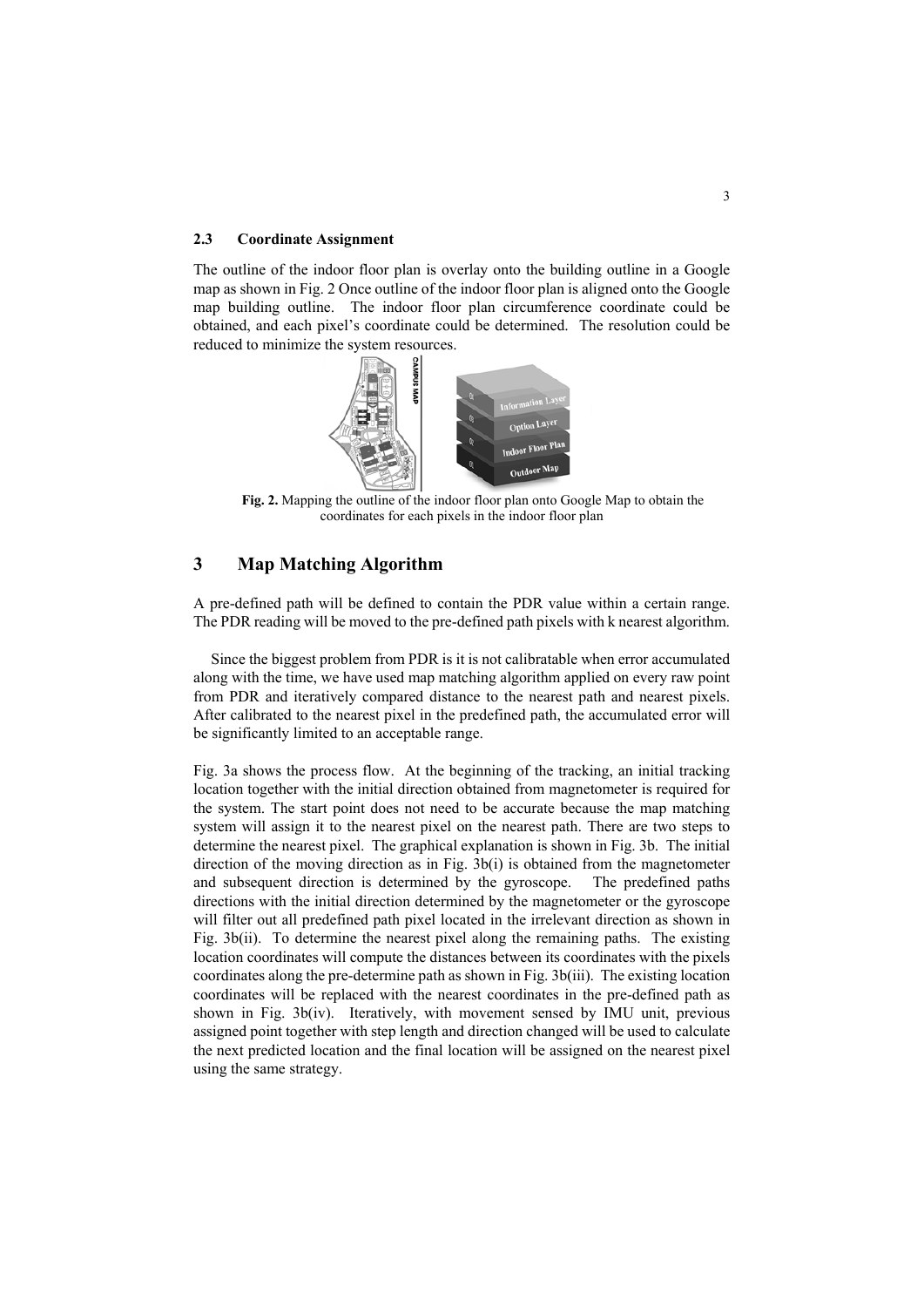#### **2.3 Coordinate Assignment**

The outline of the indoor floor plan is overlay onto the building outline in a Google map as shown in Fig. 2 Once outline of the indoor floor plan is aligned onto the Google map building outline. The indoor floor plan circumference coordinate could be obtained, and each pixel's coordinate could be determined. The resolution could be reduced to minimize the system resources.



**Fig. 2.** Mapping the outline of the indoor floor plan onto Google Map to obtain the coordinates for each pixels in the indoor floor plan

# **3 Map Matching Algorithm**

A pre-defined path will be defined to contain the PDR value within a certain range. The PDR reading will be moved to the pre-defined path pixels with k nearest algorithm.

Since the biggest problem from PDR is it is not calibratable when error accumulated along with the time, we have used map matching algorithm applied on every raw point from PDR and iteratively compared distance to the nearest path and nearest pixels. After calibrated to the nearest pixel in the predefined path, the accumulated error will be significantly limited to an acceptable range.

Fig. 3a shows the process flow. At the beginning of the tracking, an initial tracking location together with the initial direction obtained from magnetometer is required for the system. The start point does not need to be accurate because the map matching system will assign it to the nearest pixel on the nearest path. There are two steps to determine the nearest pixel. The graphical explanation is shown in Fig. 3b. The initial direction of the moving direction as in Fig. 3b(i) is obtained from the magnetometer and subsequent direction is determined by the gyroscope. The predefined paths directions with the initial direction determined by the magnetometer or the gyroscope will filter out all predefined path pixel located in the irrelevant direction as shown in Fig. 3b(ii). To determine the nearest pixel along the remaining paths. The existing location coordinates will compute the distances between its coordinates with the pixels coordinates along the pre-determine path as shown in Fig. 3b(iii). The existing location coordinates will be replaced with the nearest coordinates in the pre-defined path as shown in Fig. 3b(iv). Iteratively, with movement sensed by IMU unit, previous assigned point together with step length and direction changed will be used to calculate the next predicted location and the final location will be assigned on the nearest pixel using the same strategy.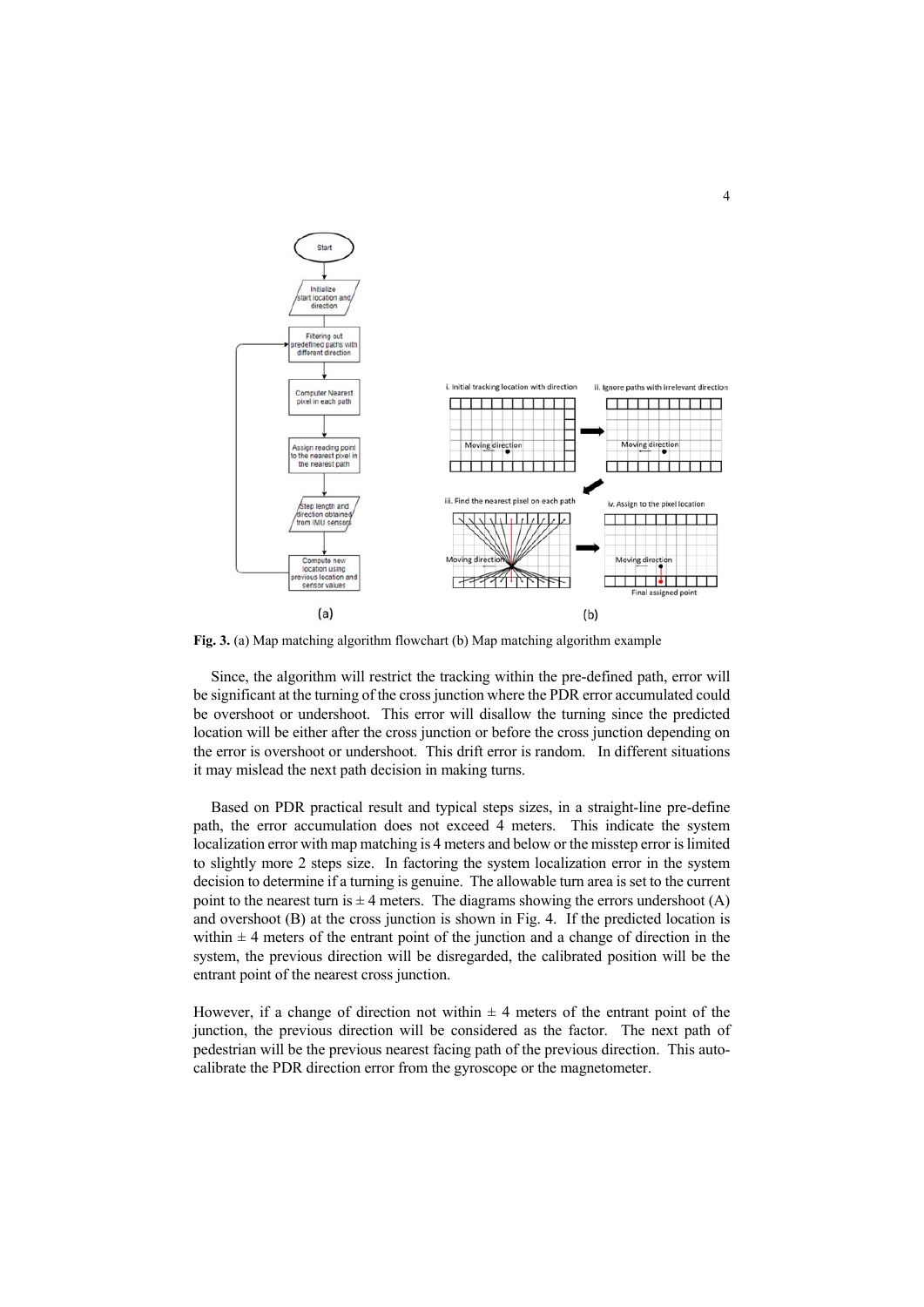

**Fig. 3.** (a) Map matching algorithm flowchart (b) Map matching algorithm example

Since, the algorithm will restrict the tracking within the pre-defined path, error will be significant at the turning of the cross junction where the PDR error accumulated could be overshoot or undershoot. This error will disallow the turning since the predicted location will be either after the cross junction or before the cross junction depending on the error is overshoot or undershoot. This drift error is random. In different situations it may mislead the next path decision in making turns.

Based on PDR practical result and typical steps sizes, in a straight-line pre-define path, the error accumulation does not exceed 4 meters. This indicate the system localization error with map matching is 4 meters and below or the misstep error is limited to slightly more 2 steps size. In factoring the system localization error in the system decision to determine if a turning is genuine. The allowable turn area is set to the current point to the nearest turn is  $\pm 4$  meters. The diagrams showing the errors undershoot (A) and overshoot  $(B)$  at the cross junction is shown in Fig. 4. If the predicted location is within  $\pm$  4 meters of the entrant point of the junction and a change of direction in the system, the previous direction will be disregarded, the calibrated position will be the entrant point of the nearest cross junction.

However, if a change of direction not within  $\pm$  4 meters of the entrant point of the junction, the previous direction will be considered as the factor. The next path of pedestrian will be the previous nearest facing path of the previous direction. This autocalibrate the PDR direction error from the gyroscope or the magnetometer.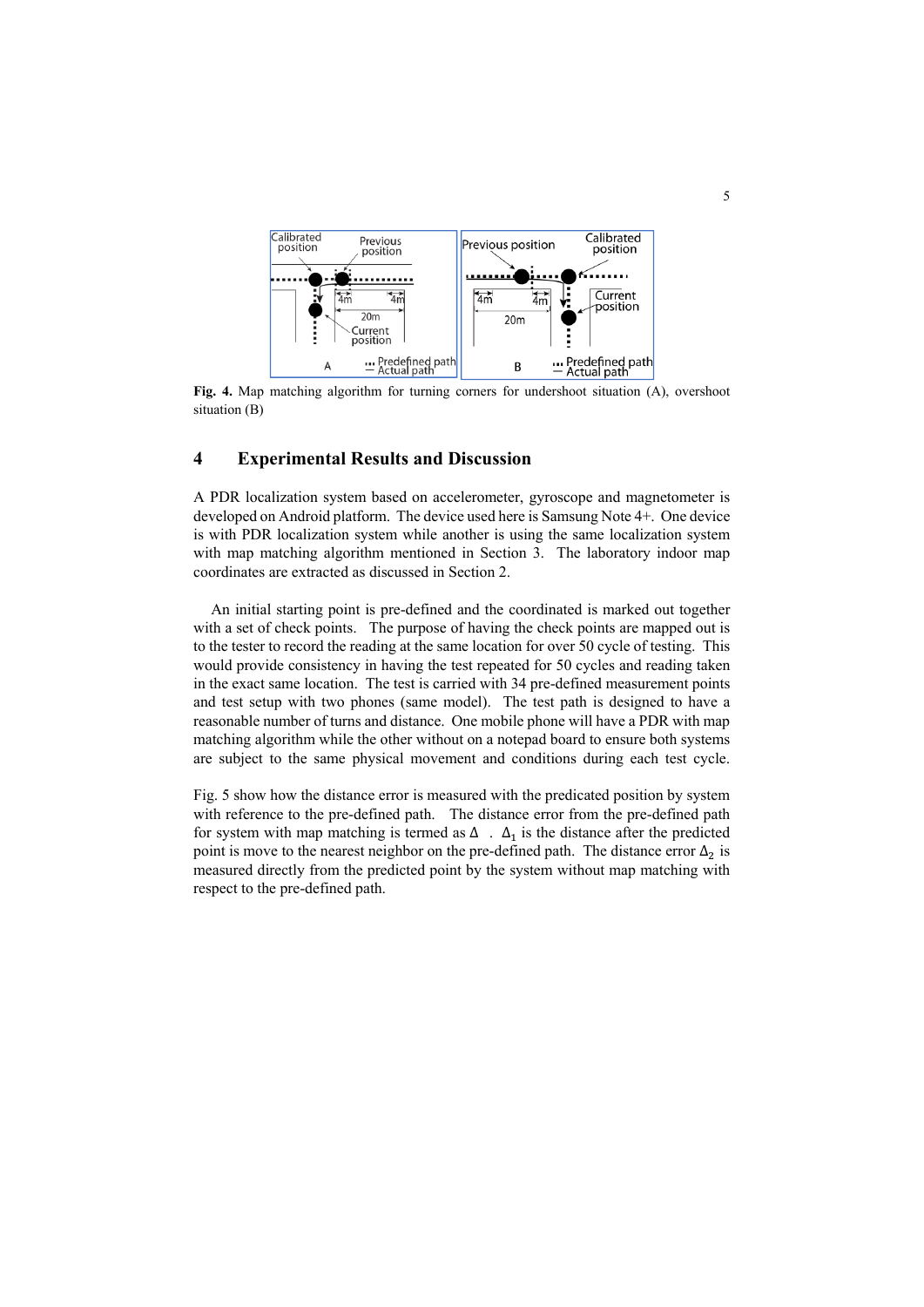

**Fig. 4.** Map matching algorithm for turning corners for undershoot situation (A), overshoot situation (B)

### **4 Experimental Results and Discussion**

A PDR localization system based on accelerometer, gyroscope and magnetometer is developed on Android platform. The device used here is Samsung Note 4+. One device is with PDR localization system while another is using the same localization system with map matching algorithm mentioned in Section 3. The laboratory indoor map coordinates are extracted as discussed in Section 2.

An initial starting point is pre-defined and the coordinated is marked out together with a set of check points. The purpose of having the check points are mapped out is to the tester to record the reading at the same location for over 50 cycle of testing. This would provide consistency in having the test repeated for 50 cycles and reading taken in the exact same location. The test is carried with 34 pre-defined measurement points and test setup with two phones (same model). The test path is designed to have a reasonable number of turns and distance. One mobile phone will have a PDR with map matching algorithm while the other without on a notepad board to ensure both systems are subject to the same physical movement and conditions during each test cycle.

Fig. 5 show how the distance error is measured with the predicated position by system with reference to the pre-defined path. The distance error from the pre-defined path for system with map matching is termed as  $\Delta$ .  $\Delta_1$  is the distance after the predicted point is move to the nearest neighbor on the pre-defined path. The distance error  $\Delta_2$  is measured directly from the predicted point by the system without map matching with respect to the pre-defined path.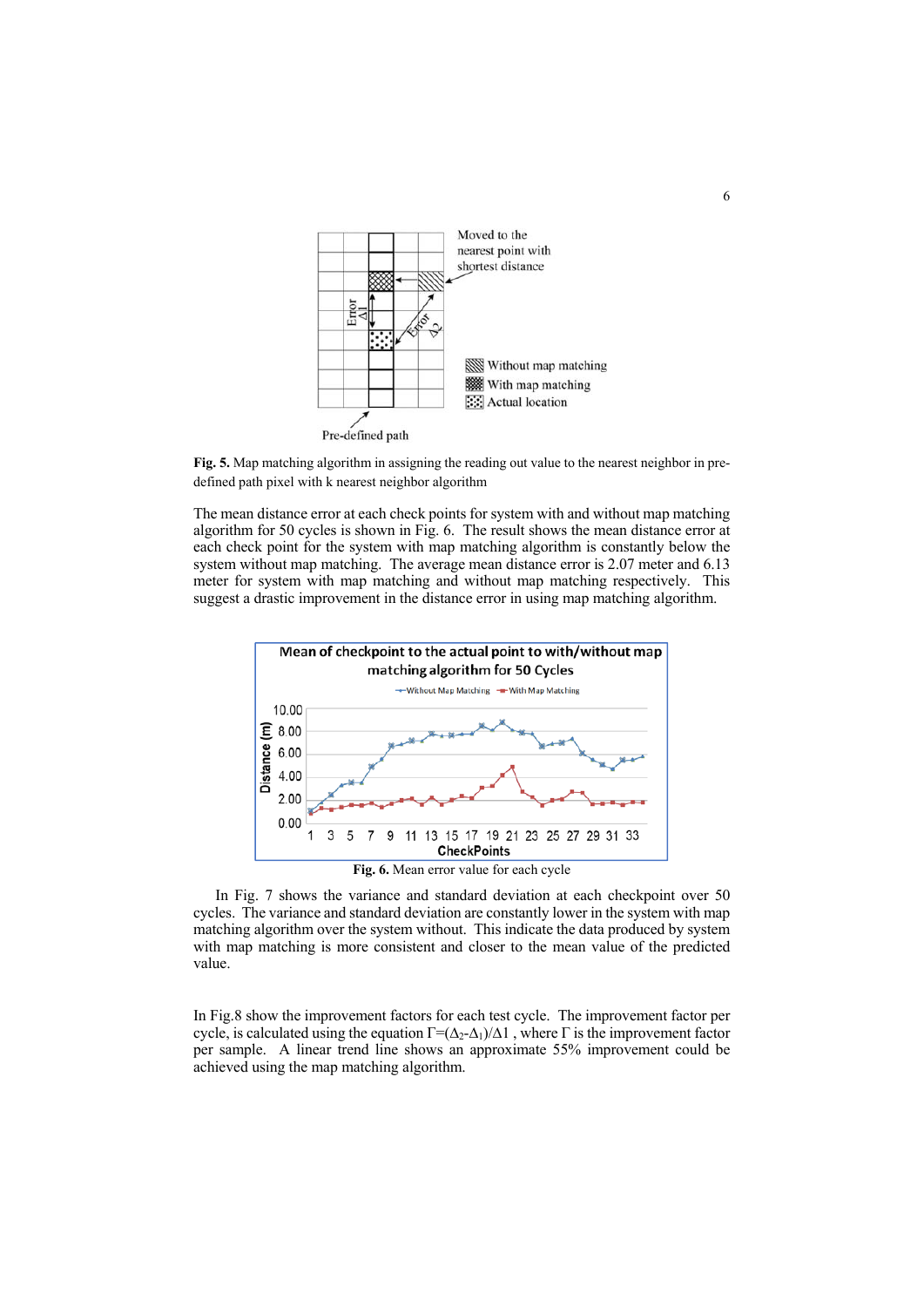

**Fig. 5.** Map matching algorithm in assigning the reading out value to the nearest neighbor in predefined path pixel with k nearest neighbor algorithm

The mean distance error at each check points for system with and without map matching algorithm for 50 cycles is shown in Fig. 6. The result shows the mean distance error at each check point for the system with map matching algorithm is constantly below the system without map matching. The average mean distance error is 2.07 meter and 6.13 meter for system with map matching and without map matching respectively. This suggest a drastic improvement in the distance error in using map matching algorithm.



In Fig. 7 shows the variance and standard deviation at each checkpoint over 50 cycles. The variance and standard deviation are constantly lower in the system with map matching algorithm over the system without. This indicate the data produced by system with map matching is more consistent and closer to the mean value of the predicted value.

In Fig.8 show the improvement factors for each test cycle. The improvement factor per cycle, is calculated using the equation  $\Gamma = (\Delta_2 - \Delta_1)/\Delta 1$ , where  $\Gamma$  is the improvement factor per sample. A linear trend line shows an approximate 55% improvement could be achieved using the map matching algorithm.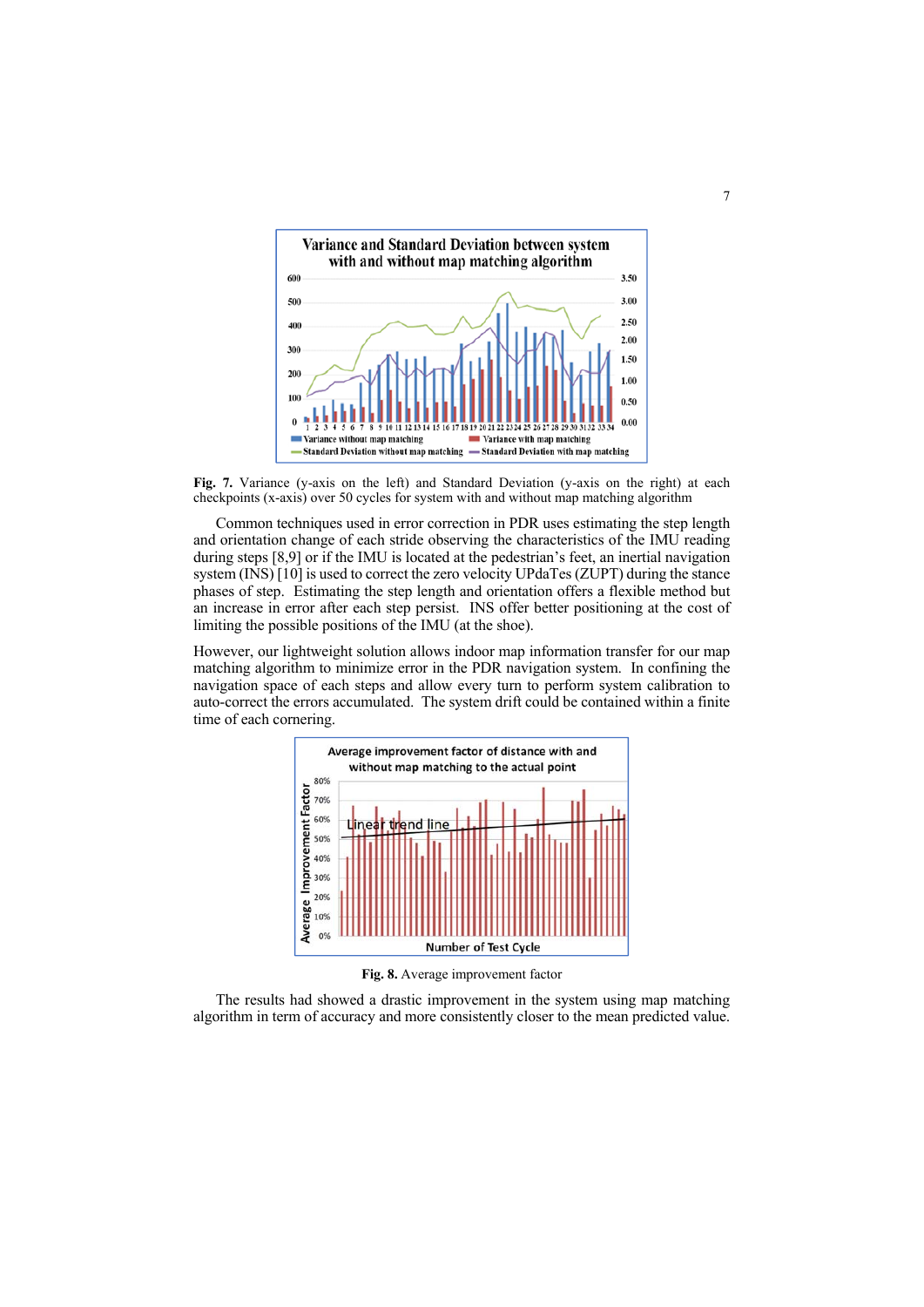

**Fig. 7.** Variance (y-axis on the left) and Standard Deviation (y-axis on the right) at each checkpoints (x-axis) over 50 cycles for system with and without map matching algorithm

 Common techniques used in error correction in PDR uses estimating the step length and orientation change of each stride observing the characteristics of the IMU reading during steps [8,9] or if the IMU is located at the pedestrian's feet, an inertial navigation system (INS) [10] is used to correct the zero velocity UPdaTes (ZUPT) during the stance phases of step. Estimating the step length and orientation offers a flexible method but an increase in error after each step persist. INS offer better positioning at the cost of limiting the possible positions of the IMU (at the shoe).

However, our lightweight solution allows indoor map information transfer for our map matching algorithm to minimize error in the PDR navigation system. In confining the navigation space of each steps and allow every turn to perform system calibration to auto-correct the errors accumulated. The system drift could be contained within a finite time of each cornering.



**Fig. 8.** Average improvement factor

The results had showed a drastic improvement in the system using map matching algorithm in term of accuracy and more consistently closer to the mean predicted value.